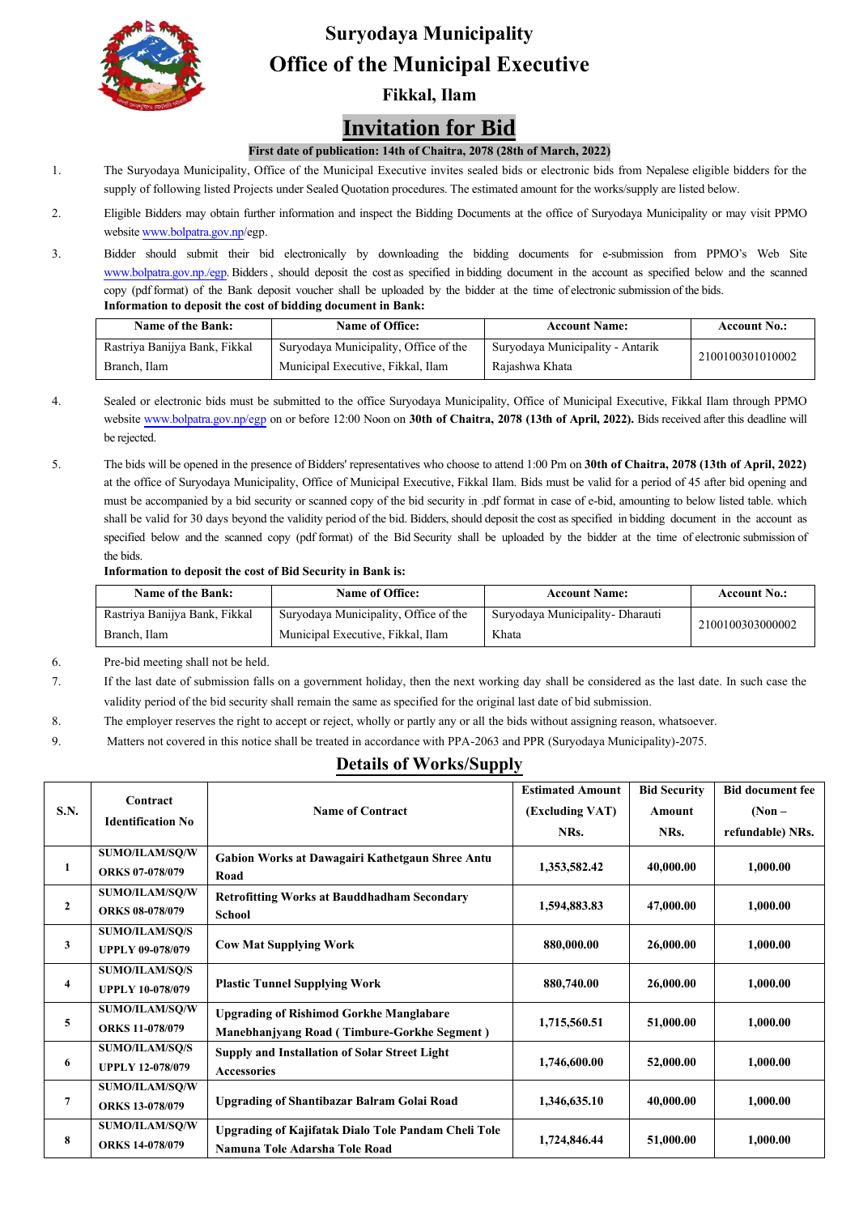

# **Suryodaya Municipality Office of the Municipal Executive**

**Fikkal, Ilam**

## **Invitation for Bid**

#### **First date of publication: 14th of Chaitra, 2078(28th of March, 2022)**

- 1. The Suryodaya Municipality, Office of the Municipal Executive invites sealed bids or electronic bids from Nepalese eligible bidders for the supply of following listed Projects under Sealed Quotation procedures. The estimated amount for the works/supply are listed below.
- 2. Eligible Bidders may obtain further information and inspect the Bidding Documents at the office of Suryodaya Municipality or may visit PPMO websit[e www.bolpatra.gov.np/](http://www.bolpatra.gov.np/)egp.
- 3. Bidder should submit their bid electronically by downloading the bidding documents for e-submission from PPMO's Web Site [www.bolpatra.gov.np./egp.](http://www.bolpatra.gov.np./egp) Bidders , should deposit the cost as specified in bidding document in the account as specified below and the scanned copy (pdf format) of the Bank deposit voucher shall be uploaded by the bidder at the time of electronic submission of the bids. **Information to deposit the cost of bidding document in Bank:**

| Name of the Bank:             | <b>Name of Office:</b>                | <b>Account Name:</b>             | <b>Account No.:</b> |  |
|-------------------------------|---------------------------------------|----------------------------------|---------------------|--|
| Rastriya Banijya Bank, Fikkal | Suryodaya Municipality, Office of the | Suryodaya Municipality - Antarik | 2100100301010002    |  |
| Branch, Ilam                  | Municipal Executive, Fikkal, Ilam     | Rajashwa Khata                   |                     |  |

- 4. Sealed or electronic bids must be submitted to the office Suryodaya Municipality, Office of Municipal Executive, Fikkal Ilam through PPMO websit[e www.bolpatra.gov.np/egp](http://www.bolpatra.gov.np/egp) on or before 12:00 Noon on **30th of Chaitra, 2078 (13th of April, 2022).** Bids received after this deadline will be rejected.
- 5. The bids will be opened in the presence of Bidders' representatives who choose to attend 1:00 Pm on **30th of Chaitra, 2078 (13th of April, 2022)** at the office of Suryodaya Municipality, Office of Municipal Executive, Fikkal Ilam. Bids must be valid for a period of 45 after bid opening and must be accompanied by a bid security or scanned copy of the bid security in .pdf format in case of e-bid, amounting to below listed table. which shall be valid for 30 days beyond the validity period of the bid. Bidders, should deposit the cost as specified in bidding document in the account as specified below and the scanned copy (pdf format) of the Bid Security shall be uploaded by the bidder at the time of electronic submission of the bids.

#### **Information to deposit the cost of Bid Security in Bank is:**

| Name of the Bank:             | <b>Name of Office:</b>                | <b>Account Name:</b>              | <b>Account No.:</b> |  |
|-------------------------------|---------------------------------------|-----------------------------------|---------------------|--|
| Rastriya Banijya Bank, Fikkal | Suryodaya Municipality, Office of the | Suryodaya Municipality - Dharauti | 2100100303000002    |  |
| Branch, Ilam                  | Municipal Executive, Fikkal, Ilam     | Khata                             |                     |  |

- 6. Pre-bid meeting shall not be held.
- 7. If the last date of submission falls on a government holiday, then the next working day shall be considered as the last date. In such case the validity period of the bid security shall remain the same as specified for the original last date of bid submission.
- 8. The employer reserves the right to accept or reject, wholly or partly any or all the bids without assigning reason, whatsoever.
- 9. Matters not covered in this notice shall be treated in accordance with PPA-2063 and PPR (Suryodaya Municipality)-2075.

### **Details of Works/Supply**

|              | Contract                 |                                                      | <b>Estimated Amount</b> | <b>Bid Security</b> | <b>Bid document fee</b> |
|--------------|--------------------------|------------------------------------------------------|-------------------------|---------------------|-------------------------|
| S.N.         |                          | <b>Name of Contract</b>                              | (Excluding VAT)         | Amount              | $(Non -$                |
|              | <b>Identification No</b> |                                                      | NRs.                    | NRs.                | refundable) NRs.        |
| 1            | SUMO/ILAM/SQ/W           | Gabion Works at Dawagairi Kathetgaun Shree Antu      |                         |                     |                         |
|              | <b>ORKS 07-078/079</b>   | Road                                                 | 1,353,582.42            | 40,000.00           | 1,000.00                |
| $\mathbf{2}$ | SUMO/ILAM/SQ/W           | <b>Retrofitting Works at Bauddhadham Secondary</b>   |                         |                     |                         |
|              | <b>ORKS 08-078/079</b>   | School                                               | 1,594,883.83            | 47,000.00           | 1,000.00                |
| 3            | <b>SUMO/ILAM/SO/S</b>    |                                                      |                         |                     |                         |
|              | <b>UPPLY 09-078/079</b>  | <b>Cow Mat Supplying Work</b>                        | 880,000.00              | 26,000.00           | 1,000.00                |
| 4            | <b>SUMO/ILAM/SQ/S</b>    |                                                      |                         |                     |                         |
|              | <b>UPPLY 10-078/079</b>  | <b>Plastic Tunnel Supplying Work</b>                 | 880,740.00              | 26,000.00           | 1,000.00                |
| 5            | SUMO/ILAM/SQ/W           | <b>Upgrading of Rishimod Gorkhe Manglabare</b>       |                         |                     |                         |
|              | <b>ORKS 11-078/079</b>   | <b>Manebhanjyang Road (Timbure-Gorkhe Segment)</b>   | 1,715,560.51            | 51,000.00           | 1,000.00                |
| 6            | <b>SUMO/ILAM/SQ/S</b>    | <b>Supply and Installation of Solar Street Light</b> |                         |                     |                         |
|              | <b>UPPLY 12-078/079</b>  | Accessories                                          | 1,746,600.00            | 52,000.00           | 1,000.00                |
| 7            | SUMO/ILAM/SQ/W           |                                                      |                         |                     |                         |
|              | <b>ORKS 13-078/079</b>   | <b>Upgrading of Shantibazar Balram Golai Road</b>    | 1,346,635.10            | 40,000.00           | 1,000.00                |
| 8            | SUMO/ILAM/SQ/W           | Upgrading of Kajifatak Dialo Tole Pandam Cheli Tole  |                         |                     |                         |
|              | ORKS 14-078/079          | Namuna Tole Adarsha Tole Road                        | 1,724,846.44            | 51,000.00           | 1,000.00                |